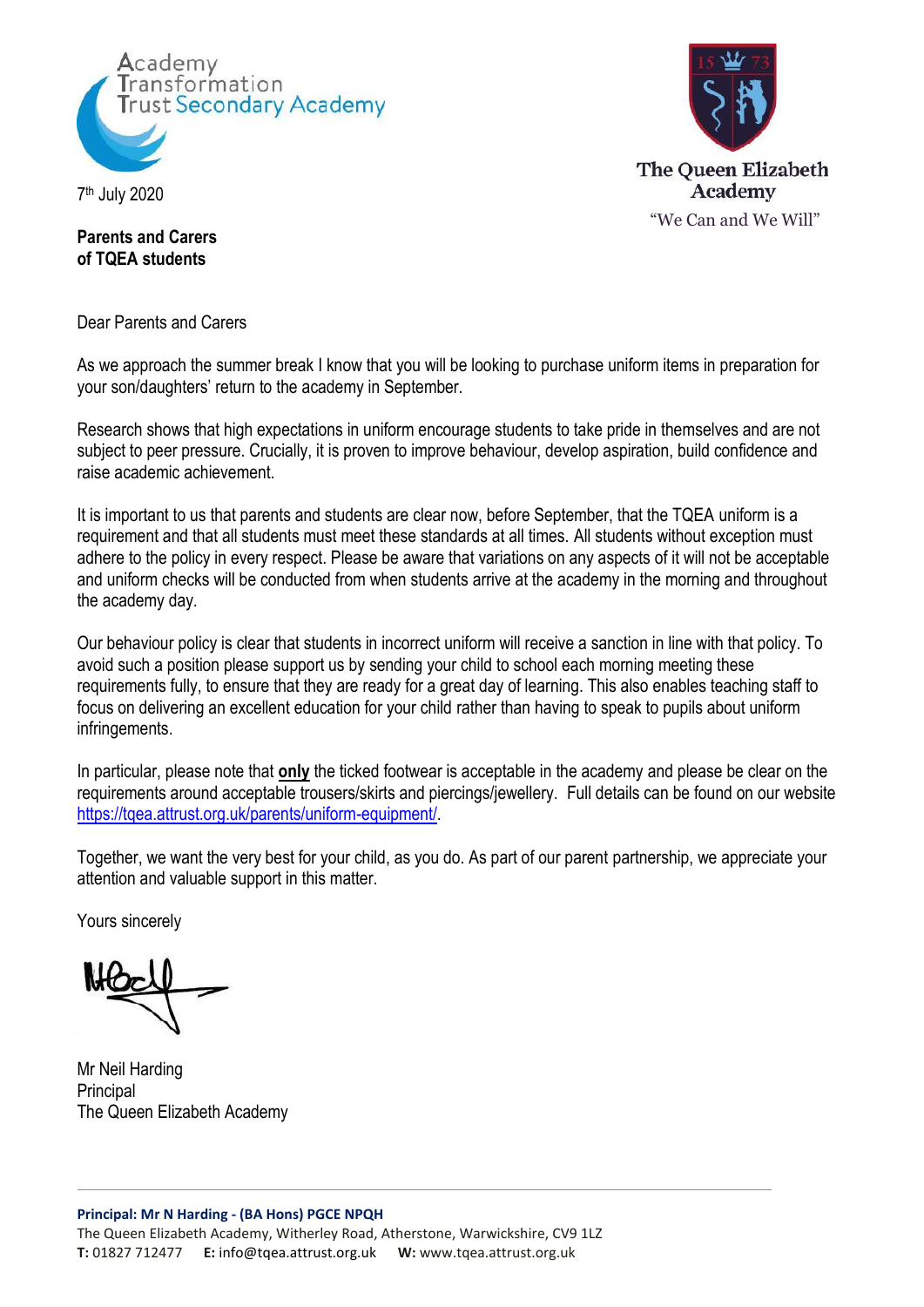

7 th July 2020



**Parents and Carers of TQEA students**

Dear Parents and Carers

As we approach the summer break I know that you will be looking to purchase uniform items in preparation for your son/daughters' return to the academy in September.

Research shows that high expectations in uniform encourage students to take pride in themselves and are not subject to peer pressure. Crucially, it is proven to improve behaviour, develop aspiration, build confidence and raise academic achievement.

It is important to us that parents and students are clear now, before September, that the TQEA uniform is a requirement and that all students must meet these standards at all times. All students without exception must adhere to the policy in every respect. Please be aware that variations on any aspects of it will not be acceptable and uniform checks will be conducted from when students arrive at the academy in the morning and throughout the academy day.

Our behaviour policy is clear that students in incorrect uniform will receive a sanction in line with that policy. To avoid such a position please support us by sending your child to school each morning meeting these requirements fully, to ensure that they are ready for a great day of learning. This also enables teaching staff to focus on delivering an excellent education for your child rather than having to speak to pupils about uniform infringements.

In particular, please note that **only** the ticked footwear is acceptable in the academy and please be clear on the requirements around acceptable trousers/skirts and piercings/jewellery. Full details can be found on our website [https://tqea.attrust.org.uk/parents/uniform-equipment/.](https://tqea.attrust.org.uk/parents/uniform-equipment/)

Together, we want the very best for your child, as you do. As part of our parent partnership, we appreciate your attention and valuable support in this matter.

Yours sincerely

Mr Neil Harding **Principal** The Queen Elizabeth Academy